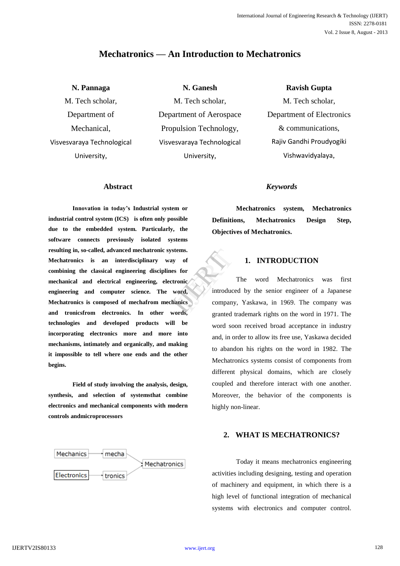# **Mechatronics — An Introduction to Mechatronics**

# **N. Pannaga**

M. Tech scholar, Department of Mechanical, Visvesvaraya Technological University,

**N. Ganesh** M. Tech scholar, Department of Aerospace Propulsion Technology, Visvesvaraya Technological University,

**Ravish Gupta** 

M. Tech scholar, Department of Electronics & communications, Rajiv Gandhi Proudyogiki Vishwavidyalaya,

### **Abstract**

**Innovation in today's Industrial system or industrial control system (ICS) is often only possible due to the embedded system. Particularly, the software connects previously isolated systems resulting in, so-called, advanced mechatronic systems. Mechatronics is an interdisciplinary way of combining the classical engineering disciplines for mechanical and electrical engineering, electronic engineering and computer science. The word, Mechatronics is composed of mechafrom mechanics and tronicsfrom electronics. In other words, technologies and developed products will be incorporating electronics more and more into mechanisms, intimately and organically, and making it impossible to tell where one ends and the other begins.**

**Field of study involving the analysis, design, synthesis, and selection of systemsthat combine electronics and mechanical components with modern controls andmicroprocessors**



### *Keywords*

**Mechatronics system, Mechatronics Definitions, Mechatronics Design Step, Objectives of Mechatronics.**

# **1. INTRODUCTION**

The word Mechatronics was first introduced by the senior engineer of a Japanese company, Yaskawa, in 1969. The company was granted trademark rights on the word in 1971. The word soon received broad acceptance in industry and, in order to allow its free use, Yaskawa decided to abandon his rights on the word in 1982. The Mechatronics systems consist of components from different physical domains, which are closely coupled and therefore interact with one another. Moreover, the behavior of the components is highly non-linear. ems.<br>
of<br>
for<br>
onic<br>
ord,<br>
introduced<br>
company,<br>
ands

### **2. WHAT IS MECHATRONICS?**

Today it means mechatronics engineering activities including designing, testing and operation of machinery and equipment, in which there is a high level of functional integration of mechanical systems with electronics and computer control.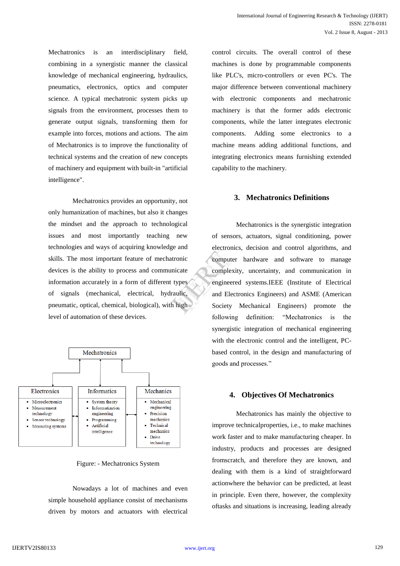Mechatronics is an interdisciplinary field, combining in a synergistic manner the classical knowledge of mechanical engineering, hydraulics, pneumatics, electronics, optics and computer science. A typical mechatronic system picks up signals from the environment, processes them to generate output signals, transforming them for example into forces, motions and actions. The aim of Mechatronics is to improve the functionality of technical systems and the creation of new concepts of machinery and equipment with built-in "artificial intelligence".

Mechatronics provides an opportunity, not only humanization of machines, but also it changes the mindset and the approach to technological issues and most importantly teaching new technologies and ways of acquiring knowledge and skills. The most important feature of mechatronic devices is the ability to process and communicate information accurately in a form of different types of signals (mechanical, electrical, hydraulic, pneumatic, optical, chemical, biological), with high level of automation of these devices.



Figure: - Mechatronics System

Nowadays a lot of machines and even simple household appliance consist of mechanisms driven by motors and actuators with electrical

control circuits. The overall control of these machines is done by programmable components like PLC's, micro-controllers or even PC's. The major difference between conventional machinery with electronic components and mechatronic machinery is that the former adds electronic components, while the latter integrates electronic components. Adding some electronics to a machine means adding additional functions, and integrating electronics means furnishing extended capability to the machinery.

### **3. Mechatronics Definitions**

Mechatronics is the synergistic integration of sensors, actuators, signal conditioning, power electronics, decision and control algorithms, and computer hardware and software to manage complexity, uncertainty, and communication in engineered systems.IEEE (Institute of Electrical and Electronics Engineers) and ASME (American Society Mechanical Engineers) promote the following definition: "Mechatronics is the synergistic integration of mechanical engineering with the electronic control and the intelligent, PCbased control, in the design and manufacturing of goods and processes." France Computer<br>
Computer<br>
Computer<br>
Complexity<br>
Press Computer<br>
Society<br>
Notice Society<br>
Notice Society<br>
Notice Society<br>
Notice Society<br>
Notice Society<br>
Notice Society<br>
Notice Society<br>
Notice Society<br>
Notice Society<br>
Noti

#### **4. Objectives Of Mechatronics**

Mechatronics has mainly the objective to improve technicalproperties, i.e., to make machines work faster and to make manufacturing cheaper. In industry, products and processes are designed fromscratch, and therefore they are known, and dealing with them is a kind of straightforward actionwhere the behavior can be predicted, at least in principle. Even there, however, the complexity oftasks and situations is increasing, leading already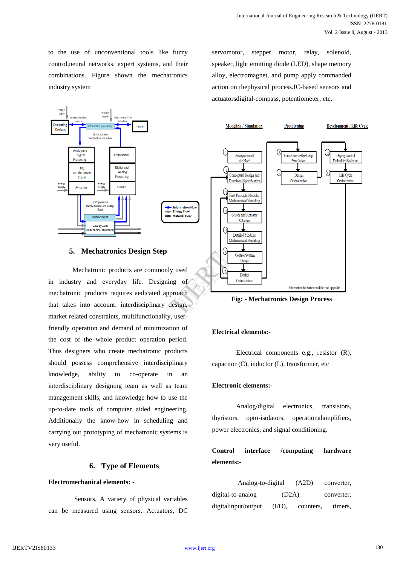to the use of unconventional tools like fuzzy control,neural networks, expert systems, and their combinations. Figure shown the mechatronics industry system



#### **5. Mechatronics Design Step**

Mechatronic products are commonly used in industry and everyday life. Designing of mechatronic products requires aedicated approach that takes into account: interdisciplinary design, market related constraints, multifunctionality, userfriendly operation and demand of minimization of the cost of the whole product operation period. Thus designers who create mechatronic products should possess comprehensive interdisciplinary knowledge, ability to co-operate in an interdisciplinary designing team as well as team management skills, and knowledge how to use the up-to-date tools of computer aided engineering. Additionally the know-how in scheduling and carrying out prototyping of mechatronic systems is very useful.

#### **6. Type of Elements**

#### **Electromechanical elements: -**

Sensors, A variety of physical variables can be measured using sensors. Actuators, DC servomotor, stepper motor, relay, solenoid, speaker, light emitting diode (LED), shape memory alloy, electromagnet, and pump apply commanded action on thephysical process.IC-based sensors and actuatorsdigital-compass, potentiometer, etc.



**Fig: - Mechatronics Design Process**

#### **Electrical elements:-**

Electrical components e.g., resistor (R), capacitor (C), inductor (L), transformer, etc

#### **Electronic elements:-**

Analog/digital electronics, transistors, thyristors, opto-isolators, operationalamplifiers, power electronics, and signal conditioning.

# **Control interface /computing hardware elements:-**

Analog-to-digital (A2D) converter, digital-to-analog (D2A) converter, digitalinput/output (I/O), counters, timers,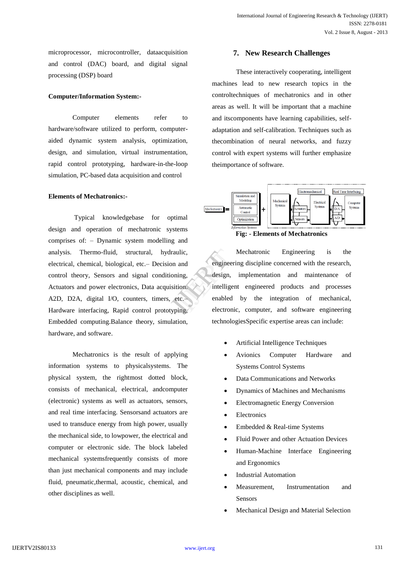microprocessor, microcontroller, dataacquisition and control (DAC) board, and digital signal processing (DSP) board

#### **Computer/Information System:-**

Computer elements refer to hardware/software utilized to perform, computeraided dynamic system analysis, optimization, design, and simulation, virtual instrumentation, rapid control prototyping, hardware-in-the-loop simulation, PC-based data acquisition and control

#### **Elements of Mechatronics:-**

Typical knowledgebase for optimal design and operation of mechatronic systems comprises of: – Dynamic system modelling and analysis. Thermo-fluid, structural, hydraulic, electrical, chemical, biological, etc.– Decision and control theory, Sensors and signal conditioning, Actuators and power electronics, Data acquisition. A2D, D2A, digital I/O, counters, timers, etc.– Hardware interfacing, Rapid control prototyping, Embedded computing.Balance theory, simulation, hardware, and software.

Mechatronics is the result of applying information systems to physicalsystems. The physical system, the rightmost dotted block, consists of mechanical, electrical, andcomputer (electronic) systems as well as actuators, sensors, and real time interfacing. Sensorsand actuators are used to transduce energy from high power, usually the mechanical side, to lowpower, the electrical and computer or electronic side. The block labeled mechanical systemsfrequently consists of more than just mechanical components and may include fluid, pneumatic,thermal, acoustic, chemical, and other disciplines as well.

#### **7. New Research Challenges**

These interactively cooperating, intelligent machines lead to new research topics in the controltechniques of mechatronics and in other areas as well. It will be important that a machine and itscomponents have learning capabilities, selfadaptation and self-calibration. Techniques such as thecombination of neural networks, and fuzzy control with expert systems will further emphasize theimportance of software.



**Fig: - Elements of Mechatronics**

Mechatronic Engineering is the engineering discipline concerned with the research, design, implementation and maintenance of intelligent engineered products and processes enabled by the integration of mechanical, electronic, computer, and software engineering technologiesSpecific expertise areas can include: mand<br>
ing,<br>
design, if<br>
ion.<br>
the intelligent<br>
enabled<br>
ing,<br>
electronic,

- Artificial Intelligence Techniques
- Avionics Computer Hardware and Systems Control Systems
- Data Communications and Networks
- Dynamics of Machines and Mechanisms
- Electromagnetic Energy Conversion
- Electronics
- Embedded & Real-time Systems
- Fluid Power and other Actuation Devices
- Human-Machine Interface Engineering and Ergonomics
- Industrial Automation
- Measurement, Instrumentation and Sensors
- Mechanical Design and Material Selection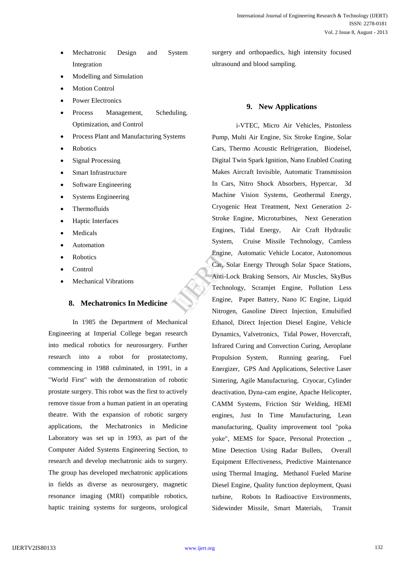- Mechatronic Design and System Integration
- Modelling and Simulation
- Motion Control
- Power Electronics
- Process Management, Scheduling, Optimization, and Control
- Process Plant and Manufacturing Systems
- Robotics
- Signal Processing
- Smart Infrastructure
- Software Engineering
- Systems Engineering
- Thermofluids
- Haptic Interfaces
- Medicals
- Automation
- Robotics
- Control
- Mechanical Vibrations

# **8. Mechatronics In Medicine**

In 1985 the Department of Mechanical Engineering at Imperial College began research into medical robotics for neurosurgery. Further research into a robot for prostatectomy, commencing in 1988 culminated, in 1991, in a "World First" with the demonstration of robotic prostate surgery. This robot was the first to actively remove tissue from a human patient in an operating theatre. With the expansion of robotic surgery applications, the Mechatronics in Medicine Laboratory was set up in 1993, as part of the Computer Aided Systems Engineering Section, to research and develop mechatronic aids to surgery. The group has developed mechatronic applications in fields as diverse as neurosurgery, magnetic resonance imaging (MRI) compatible robotics, haptic training systems for surgeons, urological

surgery and orthopaedics, high intensity focused ultrasound and blood sampling.

# **9. New Applications**

i-VTEC, Micro Air Vehicles, Pistonless Pump, Multi Air Engine, Six Stroke Engine, Solar Cars, Thermo Acoustic Refrigeration, Biodeisel, Digital Twin Spark Ignition, Nano Enabled Coating Makes Aircraft Invisible, Automatic Transmission In Cars, Nitro Shock Absorbers, Hypercar, 3d Machine Vision Systems, Geothermal Energy, Cryogenic Heat Treatment, Next Generation 2- Stroke Engine, Microturbines, Next Generation Engines, Tidal Energy, Air Craft Hydraulic System, Cruise Missile Technology, Camless Engine, Automatic Vehicle Locator, Autonomous Car, Solar Energy Through Solar Space Stations, Anti-Lock Braking Sensors, Air Muscles, SkyBus Technology, Scramjet Engine, Pollution Less Engine, Paper Battery, Nano IC Engine, Liquid Nitrogen, Gasoline Direct Injection, Emulsified Ethanol, Direct Injection Diesel Engine, Vehicle Dynamics, Valvetronics, Tidal Power, Hovercraft, Infrared Curing and Convection Curing, Aeroplane Propulsion System, Running gearing, Fuel Energizer, GPS And Applications, Selective Laser Sintering, Agile Manufacturing, Cryocar, Cylinder deactivation, Dyna-cam engine, Apache Helicopter, CAMM Systems, Friction Stir Welding, HEMI engines, Just In Time Manufacturing, Lean manufacturing, Quality improvement tool "poka yoke", MEMS for Space, Personal Protection ,, Mine Detection Using Radar Bullets, Overall Equipment Effectiveness, Predictive Maintenance using Thermal Imaging, Methanol Fueled Marine Diesel Engine, Quality function deployment, Quasi turbine, Robots In Radioactive Environments, Sidewinder Missile, Smart Materials, Transit Engine, A<br>Car, Solar<br>Anti-Lock<br>Technolog<br>Engine, I<br>Nitrogen.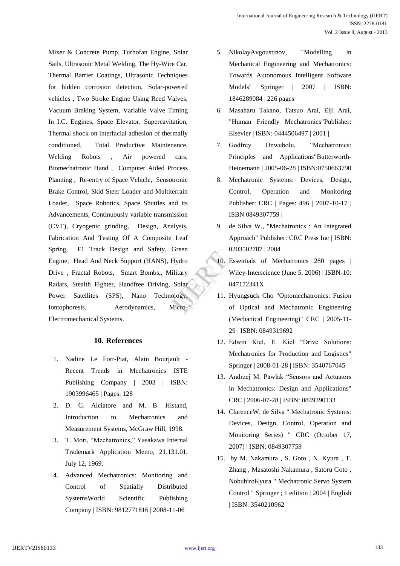Mixer & Concrete Pump, Turbofan Engine, Solar Sails, Ultrasonic Metal Welding, The Hy-Wire Car, Thermal Barrier Coatings, Ultrasonic Techniques for hidden corrosion detection, Solar-powered vehicles , Two Stroke Engine Using Reed Valves, Vacuum Braking System, Variable Valve Timing In I.C. Engines, Space Elevator, Supercavitation, Thermal shock on interfacial adhesion of thermally conditioned, Total Productive Maintenance, Welding Robots , Air powered cars, Biomechatronic Hand , Computer Aided Process Planning , Re-entry of Space Vehicle, Sensotronic Brake Control, Skid Steer Loader and Multiterrain Loader, Space Robotics, Space Shuttles and its Advancements, Continuously variable transmission (CVT), Cryogenic grinding, Design, Analysis, Fabrication And Testing Of A Composite Leaf Spring, F1 Track Design and Safety, Green Engine, Head And Neck Support (HANS), Hydro Drive , Fractal Robots, Smart Bombs,, Military Radars, Stealth Fighter, Handfree Driving, Solar Power Satellites (SPS), Nano Technology, Iontophoresis, Aerodynamics, Micro-Electromechanical Systems. Preen<br>
ydro 10. Esse<br>
itary Wile<br>
olar 0471<br>
ogy, 11. Hyu<br>
of 0

### **10. References**

- 1. Nadine Le Fort-Piat, Alain Bourjault Recent Trends in Mechatronics ISTE Publishing Company | 2003 | ISBN: 1903996465 | Pages: 128
- 2. D. G. Alciatore and M. B. Histand, Introduction to Mechatronics and Measurement Systems, McGraw Hill, 1998.
- 3. T. Mori, "Mechatronics," Yasakawa Internal Trademark Application Memo, 21.131.01, July 12, 1969.
- 4. Advanced Mechatronics: Monitoring and Control of Spatially Distributed SystemsWorld Scientific Publishing Company | ISBN: 9812771816 | 2008-11-06
- 5. NikolayAvgoustinov, "Modelling in Mechanical Engineering and Mechatronics: Towards Autonomous Intelligent Software Models" Springer | 2007 | ISBN: 1846289084 | 226 pages
- 6. Masaharu Takano, Tatsuo Arai, Eiji Arai, "Human Friendly Mechatronics"Publisher: Elsevier | ISBN: 0444506497 | 2001 |
- 7. Godfrey Onwubolu, "Mechatronics: Principles and Applications"Butterworth-Heinemann | 2005-06-28 | ISBN:0750663790
- 8. Mechatronic Systems: Devices, Design, Control, Operation and Monitoring Publisher: CRC | Pages: 496 | 2007-10-17 | ISBN 0849307759 |
- 9. de Silva W., "Mechatronics : An Integrated Approach" Publisher: CRC Press Inc | ISBN: 0203502787 | 2004
- 10. Essentials of Mechatronics 280 pages | Wiley-Interscience (June 5, 2006) | ISBN-10: 047172341X
- 11. Hyungsuck Cho "Optomechatronics: Fusion of Optical and Mechatronic Engineering (Mechanical Engineering)" CRC | 2005-11- 29 | ISBN: 0849319692
- 12. Edwin Kiel, E. Kiel "Drive Solutions: Mechatronics for Production and Logistics" Springer | 2008-01-28 | ISBN: 3540767045
- 13. Andrzej M. Pawlak "Sensors and Actuators in Mechatronics: Design and Applications" CRC | 2006-07-28 | ISBN: 0849390133
- 14. ClarenceW. de Silva " Mechatronic Systems: Devices, Design, Control, Operation and Monitoring Series) " CRC (October 17, 2007) | ISBN: 0849307759
- 15. by M. Nakamura , S. Goto , N. Kyura , T. Zhang , Masatoshi Nakamura , Satoru Goto , NobuhiroKyura " Mechatronic Servo System Control " Springer ; 1 edition | 2004 | English | ISBN: 3540210962